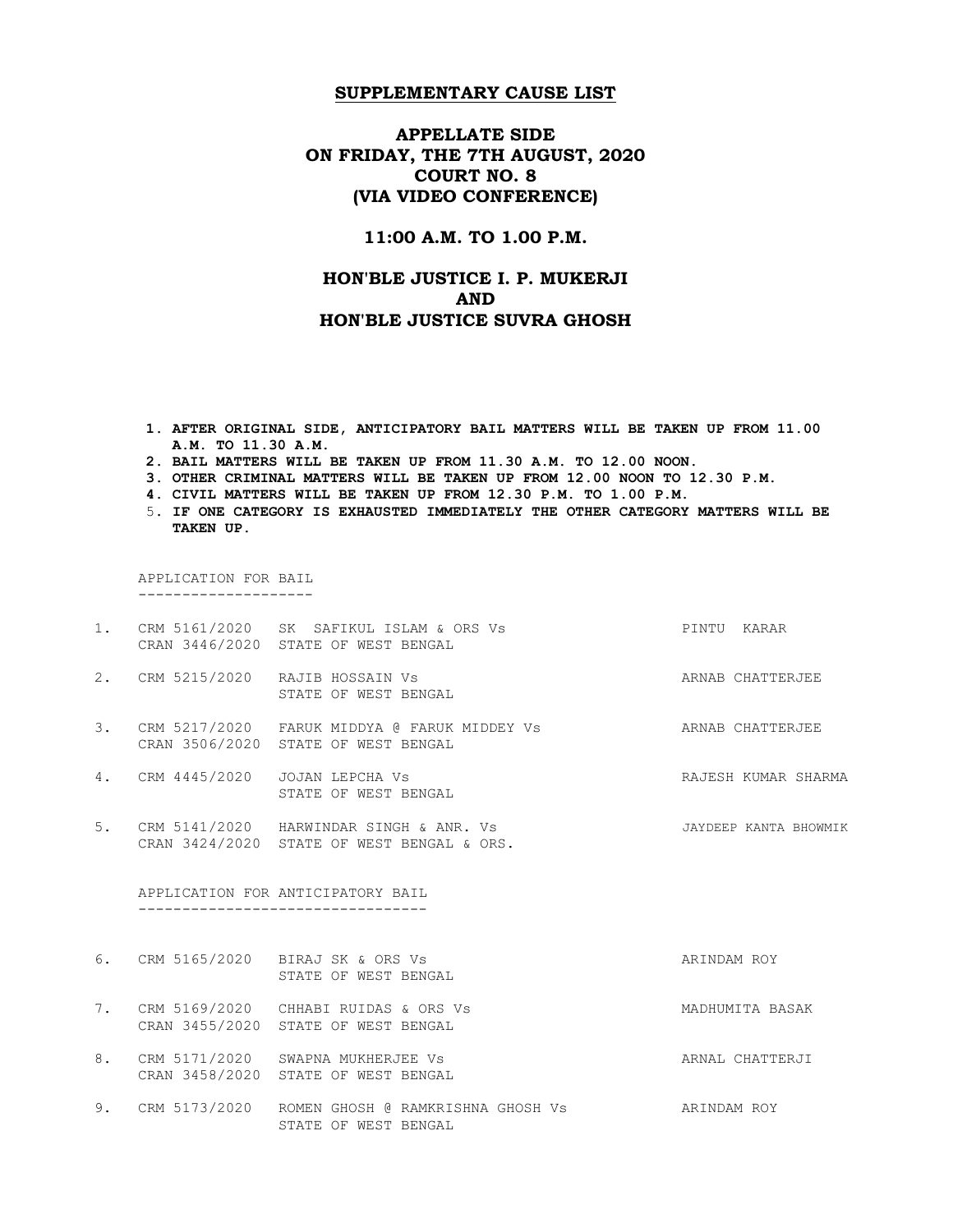# APPELLATE SIDE ON FRIDAY, THE 7TH AUGUST, 2020 COURT NO. 8 (VIA VIDEO CONFERENCE)

### 11:00 A.M. TO 1.00 P.M.

# HON'BLE JUSTICE I. P. MUKERJI AND HON'BLE JUSTICE SUVRA GHOSH

- 1. AFTER ORIGINAL SIDE, ANTICIPATORY BAIL MATTERS WILL BE TAKEN UP FROM 11.00 A.M. TO 11.30 A.M.
- 2. BAIL MATTERS WILL BE TAKEN UP FROM 11.30 A.M. TO 12.00 NOON.
- 3. OTHER CRIMINAL MATTERS WILL BE TAKEN UP FROM 12.00 NOON TO 12.30 P.M.
- 4. CIVIL MATTERS WILL BE TAKEN UP FROM 12.30 P.M. TO 1.00 P.M.
- 5. IF ONE CATEGORY IS EXHAUSTED IMMEDIATELY THE OTHER CATEGORY MATTERS WILL BE TAKEN UP.

APPLICATION FOR BAIL

--------------------

|    | 1. CRM 5161/2020 SK SAFIKUL ISLAM & ORS Vs<br>CRAN 3446/2020 STATE OF WEST BENGAL        | PINTU KARAR           |
|----|------------------------------------------------------------------------------------------|-----------------------|
|    | 2. CRM 5215/2020 RAJIB HOSSAIN Vs<br>STATE OF WEST BENGAL                                | ARNAB CHATTERJEE      |
| 3. | CRM 5217/2020   FARUK MIDDYA @ FARUK MIDDEY Vs<br>CRAN 3506/2020 STATE OF WEST BENGAL    | ARNAB CHATTERJEE      |
| 4. | CRM 4445/2020 JOJAN LEPCHA Vs<br>STATE OF WEST BENGAL                                    | RAJESH KUMAR SHARMA   |
|    | 5. CRM 5141/2020 HARWINDAR SINGH & ANR. Vs<br>CRAN 3424/2020 STATE OF WEST BENGAL & ORS. | JAYDEEP KANTA BHOWMIK |
|    | APPLICATION FOR ANTICIPATORY BAIL                                                        |                       |
|    | 6. CRM 5165/2020 BIRAJ SK & ORS Vs<br>STATE OF WEST BENGAL                               | ARINDAM ROY           |
|    |                                                                                          |                       |
| 7. | CRM 5169/2020 CHHABI RUIDAS & ORS Vs<br>CRAN 3455/2020 STATE OF WEST BENGAL              | MADHUMITA BASAK       |
| 8. | CRM 5171/2020 SWAPNA MUKHERJEE Vs<br>CRAN 3458/2020 STATE OF WEST BENGAL                 | ARNAL CHATTERJI       |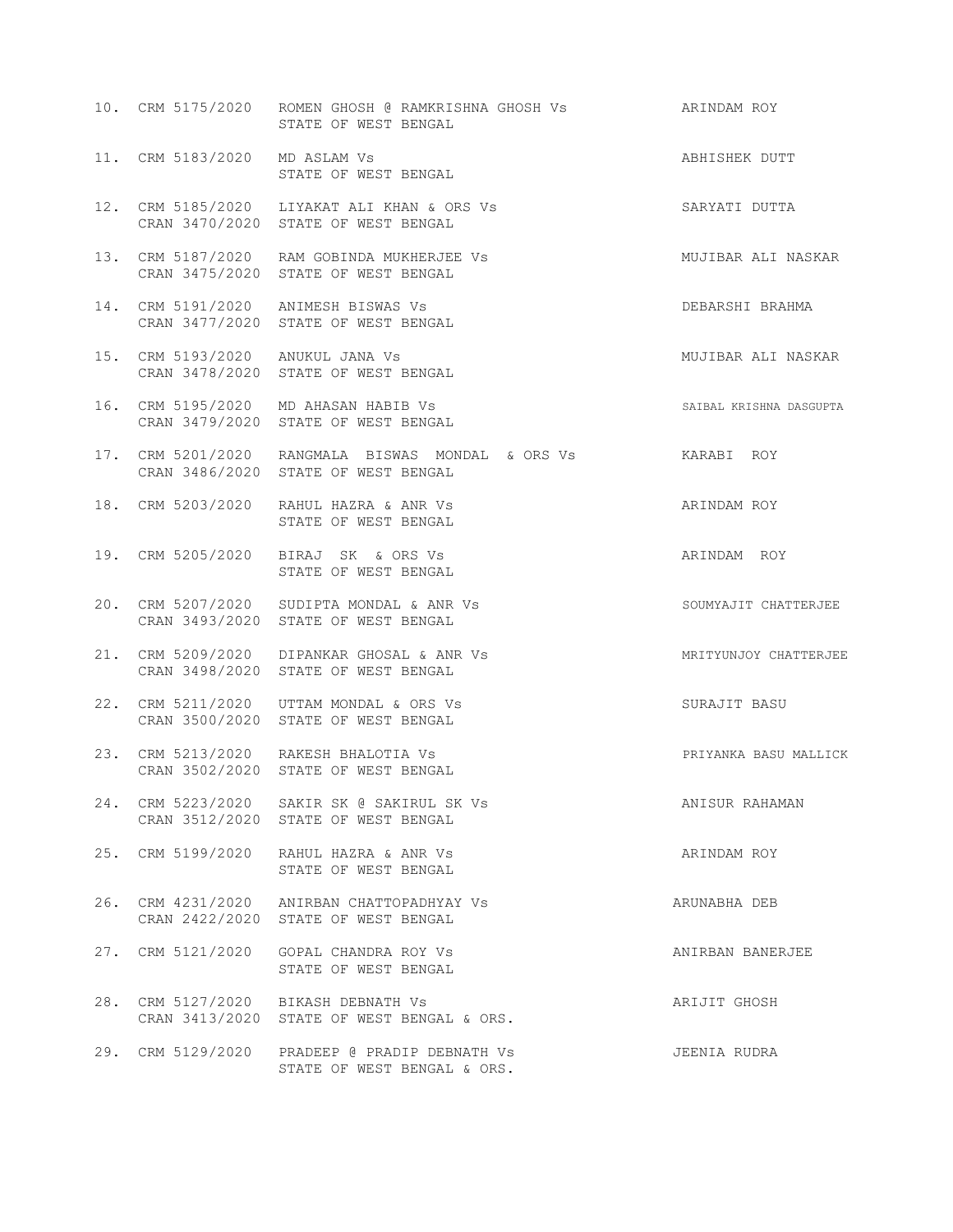|                               | 10. CRM 5175/2020   ROMEN GHOSH @ RAMKRISHNA GHOSH Vs<br>STATE OF WEST BENGAL                       | ARINDAM ROY             |
|-------------------------------|-----------------------------------------------------------------------------------------------------|-------------------------|
| 11. CRM 5183/2020 MD ASLAM Vs | STATE OF WEST BENGAL                                                                                | ABHISHEK DUTT           |
|                               | 12. CRM 5185/2020 LIYAKAT ALI KHAN & ORS Vs<br>CRAN 3470/2020 STATE OF WEST BENGAL                  | SARYATI DUTTA           |
|                               | 13. CRM 5187/2020 RAM GOBINDA MUKHERJEE Vs<br>CRAN 3475/2020 STATE OF WEST BENGAL                   | MUJIBAR ALI NASKAR      |
|                               | 14. CRM 5191/2020 ANIMESH BISWAS Vs<br>CRAN 3477/2020 STATE OF WEST BENGAL                          | DEBARSHI BRAHMA         |
|                               | 15. CRM 5193/2020 ANUKUL JANA Vs<br>CRAN 3478/2020 STATE OF WEST BENGAL                             | MUJIBAR ALI NASKAR      |
|                               | 16. CRM 5195/2020 MD AHASAN HABIB Vs<br>CRAN 3479/2020 STATE OF WEST BENGAL                         | SAIBAL KRISHNA DASGUPTA |
|                               | 17. CRM 5201/2020 RANGMALA BISWAS MONDAL & ORS Vs KARABI ROY<br>CRAN 3486/2020 STATE OF WEST BENGAL |                         |
|                               | 18. CRM 5203/2020 RAHUL HAZRA & ANR Vs<br>STATE OF WEST BENGAL                                      | ARINDAM ROY             |
|                               | 19. CRM 5205/2020 BIRAJ SK & ORS Vs<br>STATE OF WEST BENGAL                                         | ARINDAM ROY             |
|                               | 20. CRM 5207/2020 SUDIPTA MONDAL & ANR Vs<br>CRAN 3493/2020 STATE OF WEST BENGAL                    | SOUMYAJIT CHATTERJEE    |
|                               | 21. CRM 5209/2020 DIPANKAR GHOSAL & ANR Vs<br>CRAN 3498/2020 STATE OF WEST BENGAL                   | MRITYUNJOY CHATTERJEE   |
|                               | 22. CRM 5211/2020 UTTAM MONDAL & ORS Vs<br>CRAN 3500/2020 STATE OF WEST BENGAL                      | SURAJIT BASU            |
|                               | 23. CRM 5213/2020 RAKESH BHALOTIA Vs<br>CRAN 3502/2020 STATE OF WEST BENGAL                         | PRIYANKA BASU MALLICK   |
|                               | 24. CRM 5223/2020 SAKIR SK @ SAKIRUL SK Vs<br>CRAN 3512/2020 STATE OF WEST BENGAL                   | ANISUR RAHAMAN          |
|                               | 25. CRM 5199/2020 RAHUL HAZRA & ANR Vs<br>STATE OF WEST BENGAL                                      | ARINDAM ROY             |
|                               | 26. CRM 4231/2020 ANIRBAN CHATTOPADHYAY Vs<br>CRAN 2422/2020 STATE OF WEST BENGAL                   | ARUNABHA DEB            |
|                               | 27. CRM 5121/2020 GOPAL CHANDRA ROY Vs<br>STATE OF WEST BENGAL                                      | ANIRBAN BANERJEE        |
|                               | 28. CRM 5127/2020 BIKASH DEBNATH Vs<br>CRAN 3413/2020 STATE OF WEST BENGAL & ORS.                   | ARIJIT GHOSH            |
|                               | 29. CRM 5129/2020 PRADEEP @ PRADIP DEBNATH Vs<br>STATE OF WEST BENGAL & ORS.                        | JEENIA RUDRA            |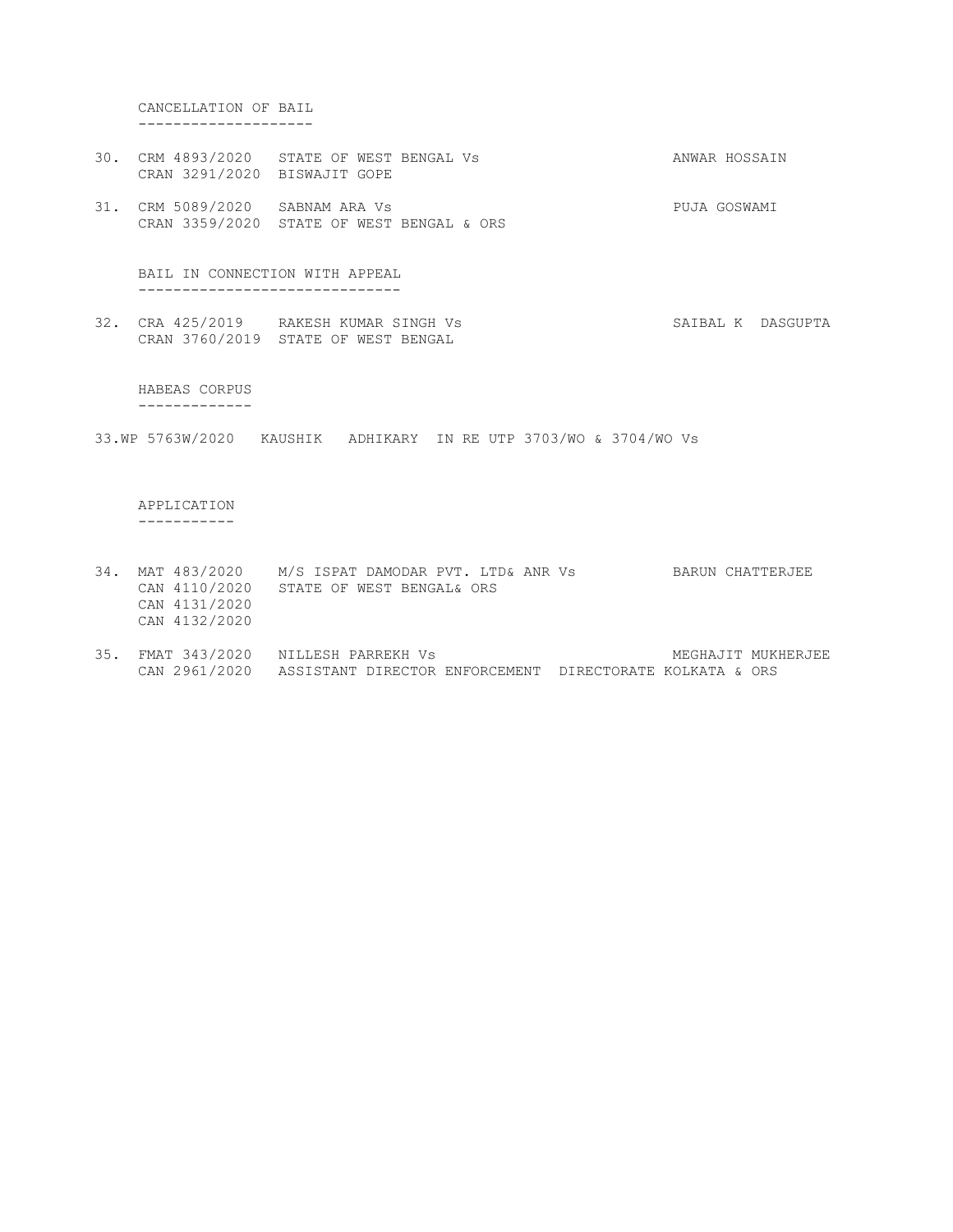#### CANCELLATION OF BAIL --------------------

- 30. CRM 4893/2020 STATE OF WEST BENGAL Vs ANWAR HOSSAIN CRAN 3291/2020 BISWAJIT GOPE
- 31. CRM 5089/2020 SABNAM ARA Vs PUJA GOSWAMI CRAN 3359/2020 STATE OF WEST BENGAL & ORS

#### BAIL IN CONNECTION WITH APPEAL ------------------------------

32. CRA 425/2019 RAKESH KUMAR SINGH Vs SAIBAL K DASGUPTA CRAN 3760/2019 STATE OF WEST BENGAL

#### HABEAS CORPUS

-------------

33.WP 5763W/2020 KAUSHIK ADHIKARY IN RE UTP 3703/WO & 3704/WO Vs

# APPLICATION

-----------

- 34. MAT 483/2020 M/S ISPAT DAMODAR PVT. LTD& ANR Vs BARUN CHATTERJEE CAN 4110/2020 STATE OF WEST BENGAL& ORS CAN 4131/2020 CAN 4132/2020
- 35. FMAT 343/2020 NILLESH PARREKH Vs Sandbook and the MEGHAJIT MUKHERJEE CAN 2961/2020 ASSISTANT DIRECTOR ENFORCEMENT DIRECTORATE KOLKATA & ORS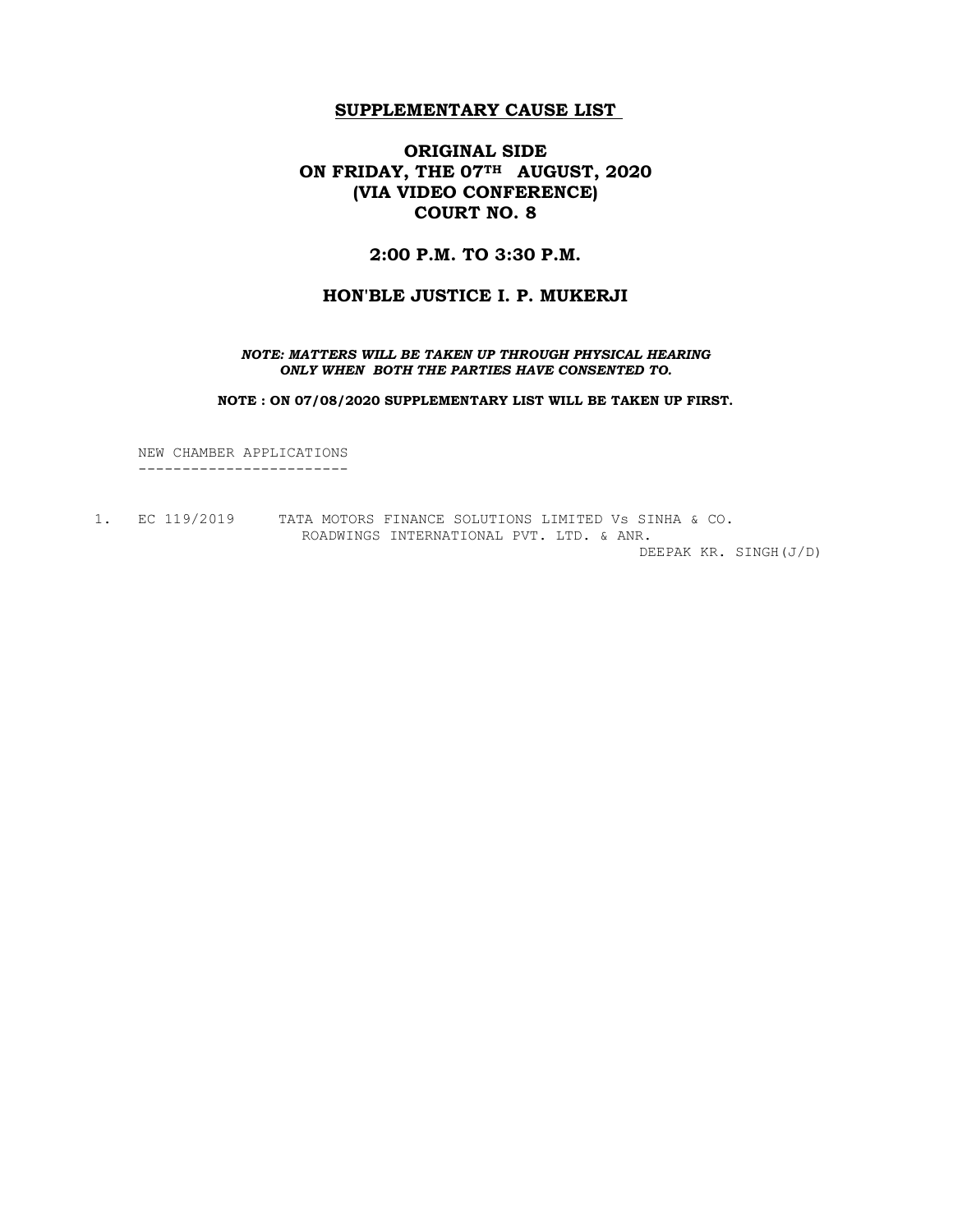# ORIGINAL SIDE ON FRIDAY, THE 07TH AUGUST, 2020 (VIA VIDEO CONFERENCE) COURT NO. 8

## 2:00 P.M. TO 3:30 P.M.

### HON'BLE JUSTICE I. P. MUKERJI

NOTE: MATTERS WILL BE TAKEN UP THROUGH PHYSICAL HEARING ONLY WHEN BOTH THE PARTIES HAVE CONSENTED TO.

NOTE : ON 07/08/2020 SUPPLEMENTARY LIST WILL BE TAKEN UP FIRST.

 NEW CHAMBER APPLICATIONS ------------------------

1. EC 119/2019 TATA MOTORS FINANCE SOLUTIONS LIMITED Vs SINHA & CO. ROADWINGS INTERNATIONAL PVT. LTD. & ANR.

DEEPAK KR. SINGH(J/D)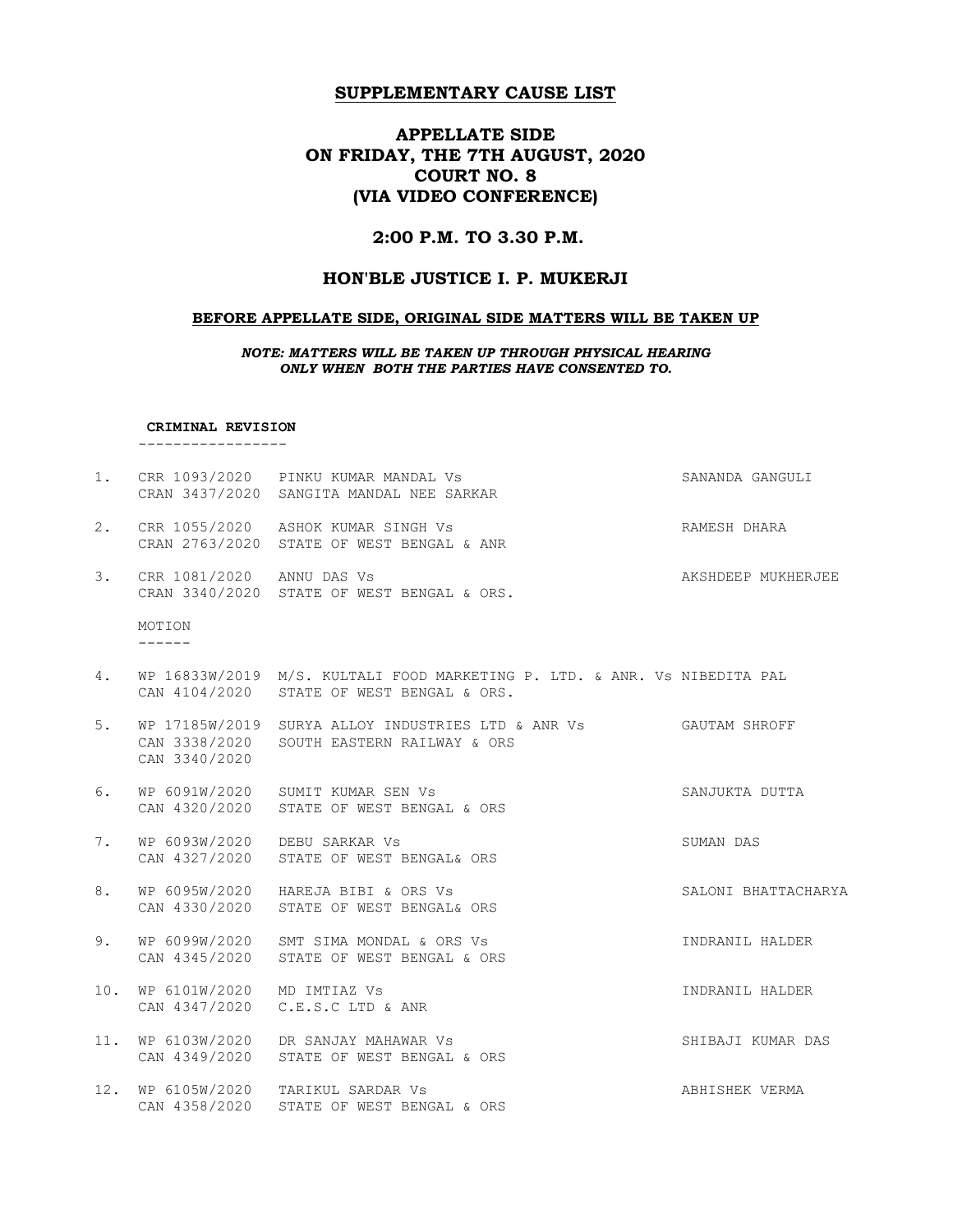# APPELLATE SIDE ON FRIDAY, THE 7TH AUGUST, 2020 COURT NO. 8 (VIA VIDEO CONFERENCE)

## 2:00 P.M. TO 3.30 P.M.

## HON'BLE JUSTICE I. P. MUKERJI

### BEFORE APPELLATE SIDE, ORIGINAL SIDE MATTERS WILL BE TAKEN UP

NOTE: MATTERS WILL BE TAKEN UP THROUGH PHYSICAL HEARING ONLY WHEN BOTH THE PARTIES HAVE CONSENTED TO.

#### CRIMINAL REVISION

-----------------

| 1.  |                                | CRR 1093/2020 PINKU KUMAR MANDAL Vs<br>CRAN 3437/2020 SANGITA MANDAL NEE SARKAR                                        | SANANDA GANGULI     |
|-----|--------------------------------|------------------------------------------------------------------------------------------------------------------------|---------------------|
| 2.  |                                | CRR 1055/2020 ASHOK KUMAR SINGH Vs<br>CRAN 2763/2020 STATE OF WEST BENGAL & ANR                                        | RAMESH DHARA        |
| 3.  | CRR 1081/2020 ANNU DAS Vs      | CRAN 3340/2020 STATE OF WEST BENGAL & ORS.                                                                             | AKSHDEEP MUKHERJEE  |
|     | MOTION<br>-------              |                                                                                                                        |                     |
| 4.  |                                | WP 16833W/2019 M/S. KULTALI FOOD MARKETING P. LTD. & ANR. Vs NIBEDITA PAL<br>CAN 4104/2020 STATE OF WEST BENGAL & ORS. |                     |
| 5.  | CAN 3340/2020                  | WP 17185W/2019 SURYA ALLOY INDUSTRIES LTD & ANR Vs GAUTAM SHROFF<br>CAN 3338/2020 SOUTH EASTERN RAILWAY & ORS          |                     |
| 6.  |                                | WP 6091W/2020 SUMIT KUMAR SEN Vs<br>CAN 4320/2020 STATE OF WEST BENGAL & ORS                                           | SANJUKTA DUTTA      |
| 7.  | WP 6093W/2020<br>CAN 4327/2020 | DEBU SARKAR Vs<br>STATE OF WEST BENGAL& ORS                                                                            | SUMAN DAS           |
| 8.  |                                | WP 6095W/2020 HAREJA BIBI & ORS Vs<br>CAN 4330/2020 STATE OF WEST BENGAL& ORS                                          | SALONI BHATTACHARYA |
| 9.  | WP 6099W/2020<br>CAN 4345/2020 | SMT SIMA MONDAL & ORS Vs<br>STATE OF WEST BENGAL & ORS                                                                 | INDRANIL HALDER     |
| 10. | WP 6101W/2020<br>CAN 4347/2020 | MD IMTIAZ Vs<br>C.E.S.C LTD & ANR                                                                                      | INDRANIL HALDER     |
| 11. | WP 6103W/2020<br>CAN 4349/2020 | DR SANJAY MAHAWAR Vs<br>STATE OF WEST BENGAL & ORS                                                                     | SHIBAJI KUMAR DAS   |
|     | CAN 4358/2020                  | 12. WP 6105W/2020 TARIKUL SARDAR Vs<br>STATE OF WEST BENGAL & ORS                                                      | ABHISHEK VERMA      |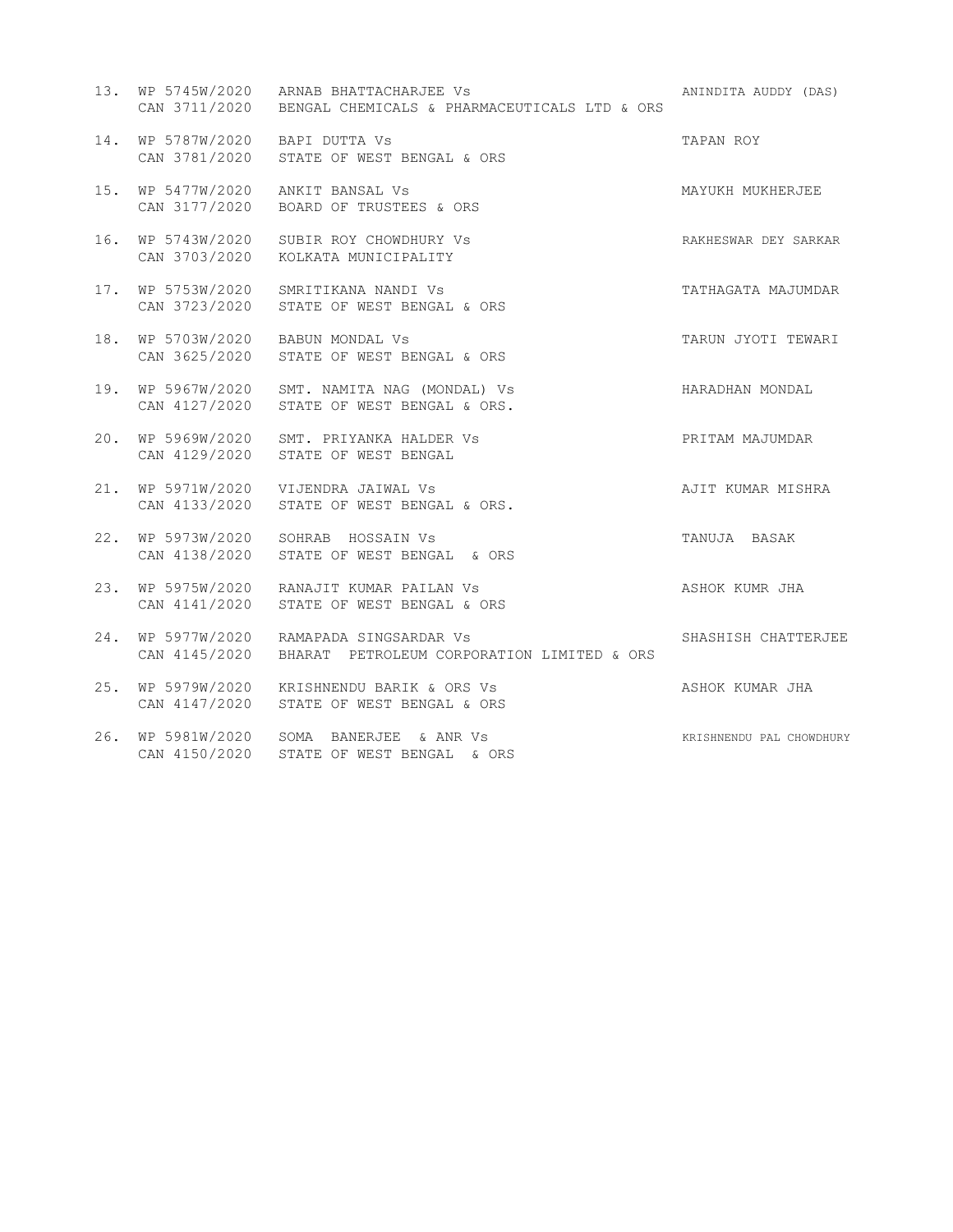|     |                                    | 13. WP 5745W/2020 ARNAB BHATTACHARJEE Vs<br>CAN 3711/2020 BENGAL CHEMICALS & PHARMACEUTICALS LTD & ORS | ANINDITA AUDDY (DAS)     |
|-----|------------------------------------|--------------------------------------------------------------------------------------------------------|--------------------------|
|     | 14. WP 5787W/2020 BAPI DUTTA Vs    | CAN 3781/2020 STATE OF WEST BENGAL & ORS                                                               | TAPAN ROY                |
|     | CAN 3177/2020                      | 15. WP 5477W/2020 ANKIT BANSAL Vs<br>BOARD OF TRUSTEES & ORS                                           | MAYUKH MUKHERJEE         |
|     |                                    | 16. WP 5743W/2020 SUBIR ROY CHOWDHURY Vs<br>CAN 3703/2020 KOLKATA MUNICIPALITY                         | RAKHESWAR DEY SARKAR     |
|     | 17. WP 5753W/2020<br>CAN 3723/2020 | SMRITIKANA NANDI Vs<br>STATE OF WEST BENGAL & ORS                                                      | TATHAGATA MAJUMDAR       |
| 18. | CAN 3625/2020                      | WP 5703W/2020 BABUN MONDAL Vs<br>STATE OF WEST BENGAL & ORS                                            | TARUN JYOTI TEWARI       |
|     | CAN 4127/2020                      | 19. WP 5967W/2020 SMT. NAMITA NAG (MONDAL) Vs<br>STATE OF WEST BENGAL & ORS.                           | HARADHAN MONDAL          |
|     | CAN 4129/2020                      | 20. WP 5969W/2020 SMT. PRIYANKA HALDER Vs<br>STATE OF WEST BENGAL                                      | PRITAM MAJUMDAR          |
|     | CAN 4133/2020                      | 21. WP 5971W/2020 VIJENDRA JAIWAL Vs<br>STATE OF WEST BENGAL & ORS.                                    | AJIT KUMAR MISHRA        |
| 22. | CAN 4138/2020                      | WP 5973W/2020 SOHRAB HOSSAIN Vs<br>STATE OF WEST BENGAL & ORS                                          | TANUJA BASAK             |
|     |                                    | 23. WP 5975W/2020 RANAJIT KUMAR PAILAN Vs<br>CAN 4141/2020 STATE OF WEST BENGAL & ORS                  | ASHOK KUMR JHA           |
| 24. |                                    | WP 5977W/2020 RAMAPADA SINGSARDAR Vs<br>CAN 4145/2020 BHARAT PETROLEUM CORPORATION LIMITED & ORS       | SHASHISH CHATTERJEE      |
| 25. | CAN 4147/2020                      | WP 5979W/2020 KRISHNENDU BARIK & ORS Vs<br>STATE OF WEST BENGAL & ORS                                  | ASHOK KUMAR JHA          |
|     |                                    | 26. WP 5981W/2020 SOMA BANERJEE & ANR Vs<br>CAN 4150/2020 STATE OF WEST BENGAL & ORS                   | KRISHNENDU PAL CHOWDHURY |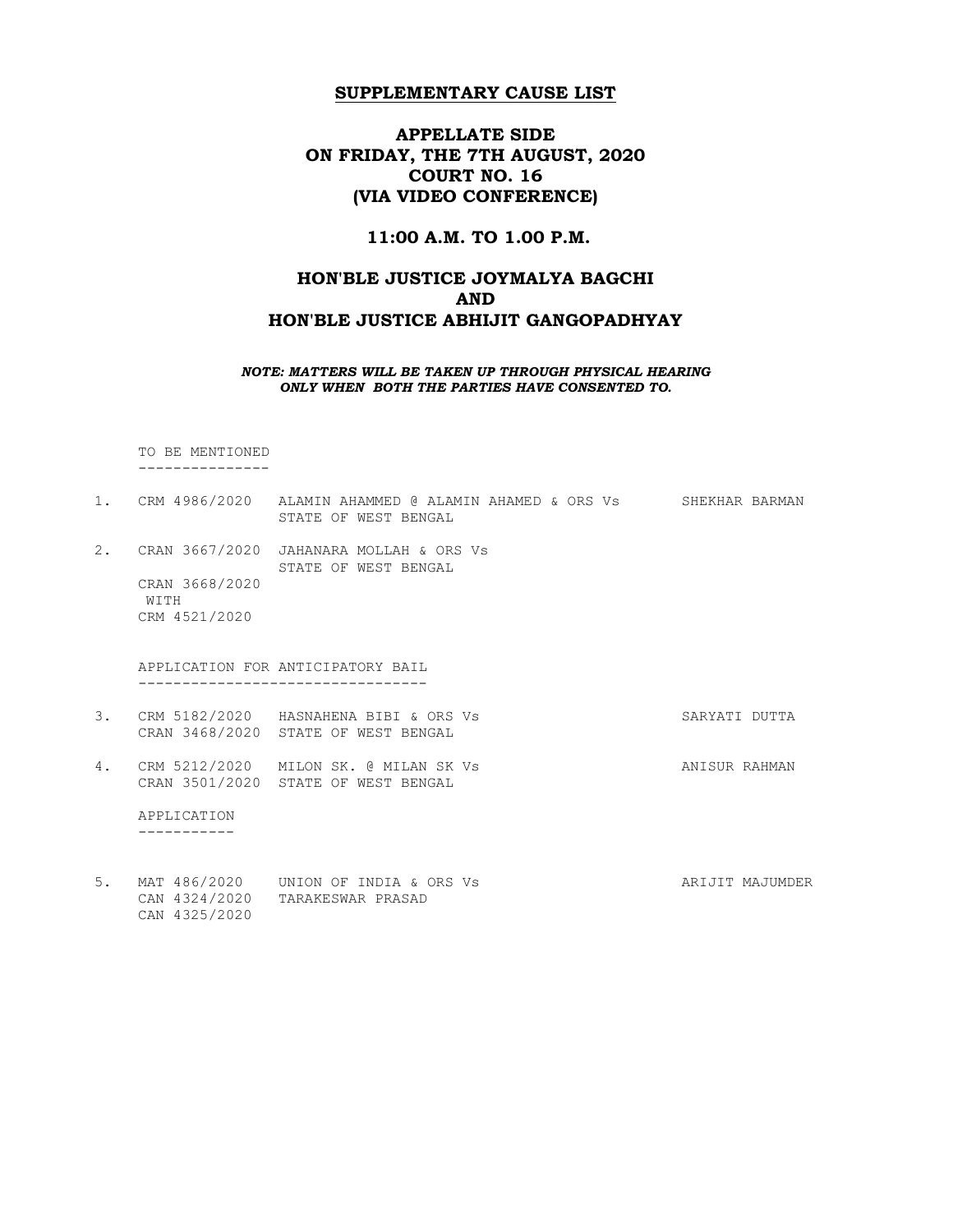# APPELLATE SIDE ON FRIDAY, THE 7TH AUGUST, 2020 COURT NO. 16 (VIA VIDEO CONFERENCE)

### 11:00 A.M. TO 1.00 P.M.

# HON'BLE JUSTICE JOYMALYA BAGCHI AND HON'BLE JUSTICE ABHIJIT GANGOPADHYAY

NOTE: MATTERS WILL BE TAKEN UP THROUGH PHYSICAL HEARING ONLY WHEN BOTH THE PARTIES HAVE CONSENTED TO.

 TO BE MENTIONED ---------------

- 1. CRM 4986/2020 ALAMIN AHAMMED @ ALAMIN AHAMED & ORS Vs SHEKHAR BARMAN STATE OF WEST BENGAL 2. CRAN 3667/2020 JAHANARA MOLLAH & ORS Vs STATE OF WEST BENGAL CRAN 3668/2020 WITH CRM 4521/2020 APPLICATION FOR ANTICIPATORY BAIL --------------------------------- 3. CRM 5182/2020 HASNAHENA BIBI & ORS Vs SARYATI DUTTA CRAN 3468/2020 STATE OF WEST BENGAL 4. CRM 5212/2020 MILON SK. @ MILAN SK Vs ANISUR RAHMAN CRAN 3501/2020 STATE OF WEST BENGAL APPLICATION -----------
- 5. MAT 486/2020 UNION OF INDIA & ORS Vs ARIJIT MAJUMDER CAN 4324/2020 TARAKESWAR PRASAD CAN 4325/2020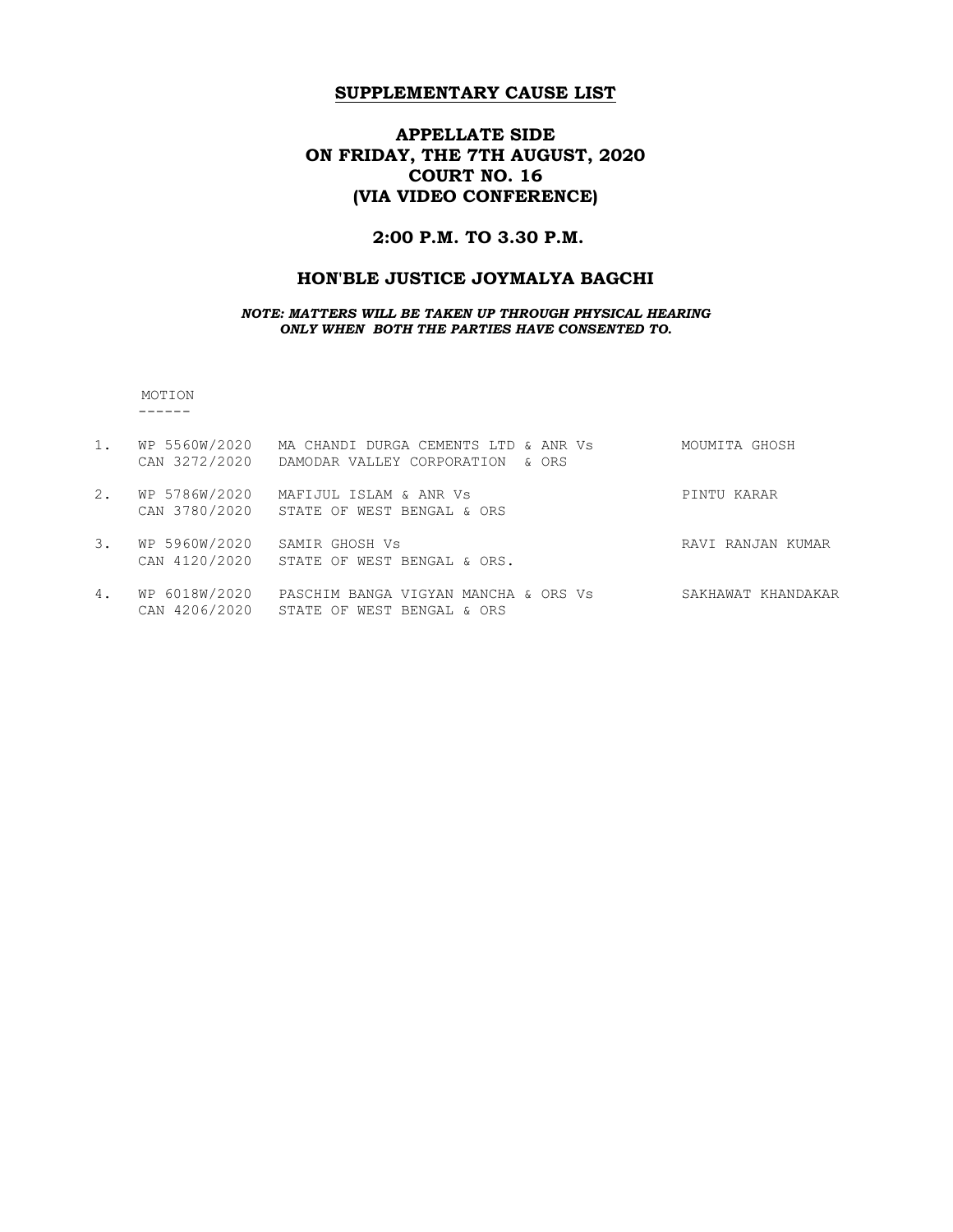# APPELLATE SIDE ON FRIDAY, THE 7TH AUGUST, 2020 COURT NO. 16 (VIA VIDEO CONFERENCE)

## 2:00 P.M. TO 3.30 P.M.

# HON'BLE JUSTICE JOYMALYA BAGCHI

#### NOTE: MATTERS WILL BE TAKEN UP THROUGH PHYSICAL HEARING ONLY WHEN BOTH THE PARTIES HAVE CONSENTED TO.

 MOTION ------

| 1. | WP 5560W/2020<br>CAN 3272/2020 | MA CHANDI DURGA CEMENTS LTD & ANR Vs<br>DAMODAR VALLEY CORPORATION<br>6 ORS | MOUMITA GHOSH      |
|----|--------------------------------|-----------------------------------------------------------------------------|--------------------|
| 2. | WP 5786W/2020<br>CAN 3780/2020 | MAFIJUL ISLAM & ANR Vs<br>STATE OF WEST BENGAL & ORS                        | PINTU KARAR        |
| 3. | WP 5960W/2020                  | SAMIR GHOSH Vs<br>CAN 4120/2020 STATE OF WEST BENGAL & ORS.                 | RAVI RANJAN KUMAR  |
| 4. | WP 6018W/2020<br>CAN 4206/2020 | PASCHIM BANGA VIGYAN MANCHA & ORS Vs<br>STATE OF WEST BENGAL & ORS          | SAKHAWAT KHANDAKAR |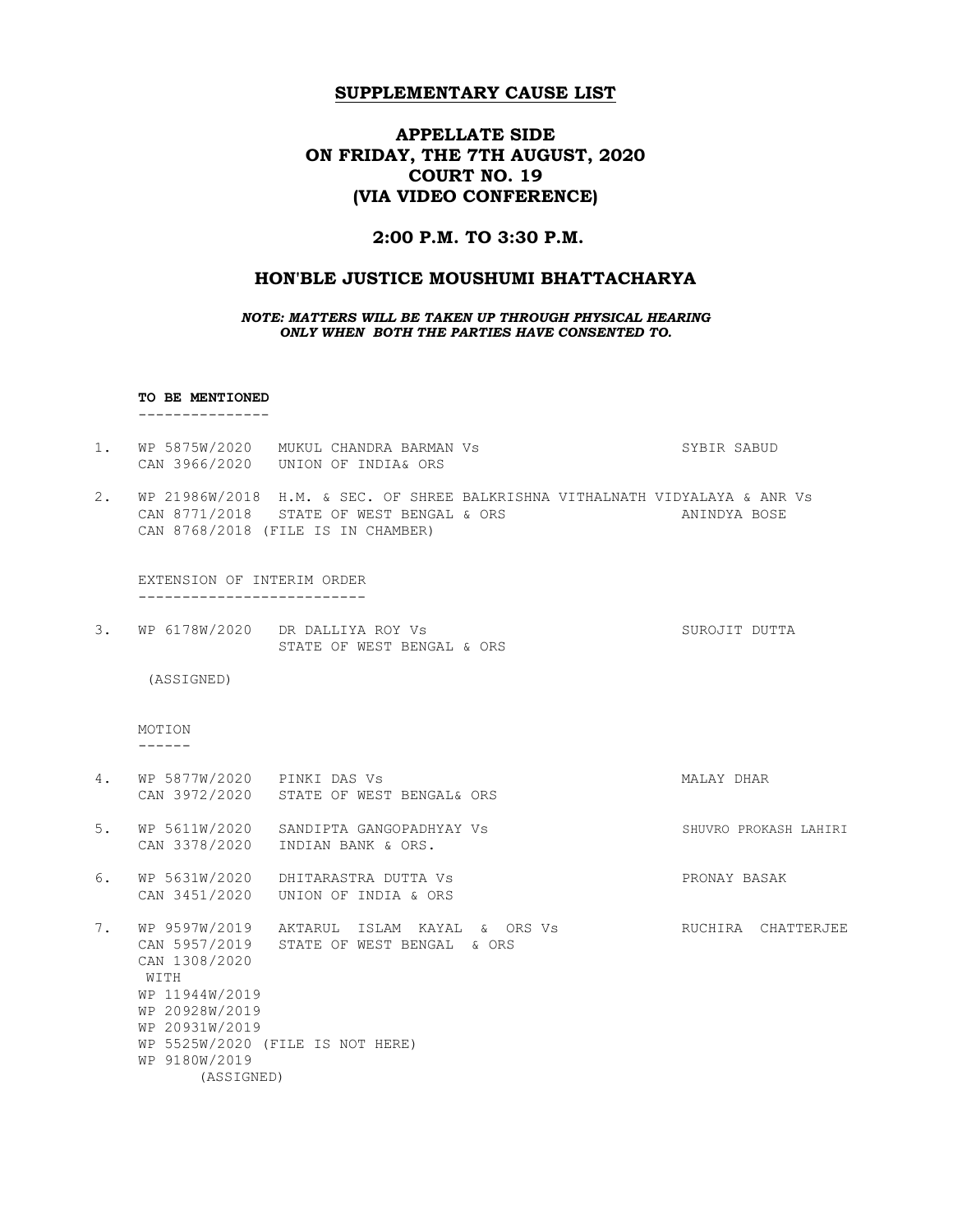# APPELLATE SIDE ON FRIDAY, THE 7TH AUGUST, 2020 COURT NO. 19 (VIA VIDEO CONFERENCE)

### 2:00 P.M. TO 3:30 P.M.

### HON'BLE JUSTICE MOUSHUMI BHATTACHARYA

NOTE: MATTERS WILL BE TAKEN UP THROUGH PHYSICAL HEARING ONLY WHEN BOTH THE PARTIES HAVE CONSENTED TO.

#### TO BE MENTIONED

---------------

- 1. WP 5875W/2020 MUKUL CHANDRA BARMAN Vs SYBIR SABUD CAN 3966/2020 UNION OF INDIA& ORS
- 2. WP 21986W/2018 H.M. & SEC. OF SHREE BALKRISHNA VITHALNATH VIDYALAYA & ANR Vs CAN 8771/2018 STATE OF WEST BENGAL & ORS ANINDYA BOSE CAN 8768/2018 (FILE IS IN CHAMBER)

 EXTENSION OF INTERIM ORDER --------------------------

3. WP 6178W/2020 DR DALLIYA ROY Vs SUROJIT DUTTA STATE OF WEST BENGAL & ORS

(ASSIGNED)

 MOTION ------

- 4. WP 5877W/2020 PINKI DAS Vs MALAY DHAR CAN 3972/2020 STATE OF WEST BENGAL& ORS 5. WP 5611W/2020 SANDIPTA GANGOPADHYAY Vs SHUVRO PROKASH LAHIRI CAN 3378/2020 INDIAN BANK & ORS. 6. WP 5631W/2020 DHITARASTRA DUTTA Vs PRONAY BASAK CAN 3451/2020 UNION OF INDIA & ORS
- 7. WP 9597W/2019 AKTARUL ISLAM KAYAL & ORS Vs RUCHIRA CHATTERJEE CAN 5957/2019 STATE OF WEST BENGAL & ORS CAN 1308/2020 WITH WP 11944W/2019 WP 20928W/2019 WP 20931W/2019 WP 5525W/2020 (FILE IS NOT HERE) WP 9180W/2019 (ASSIGNED)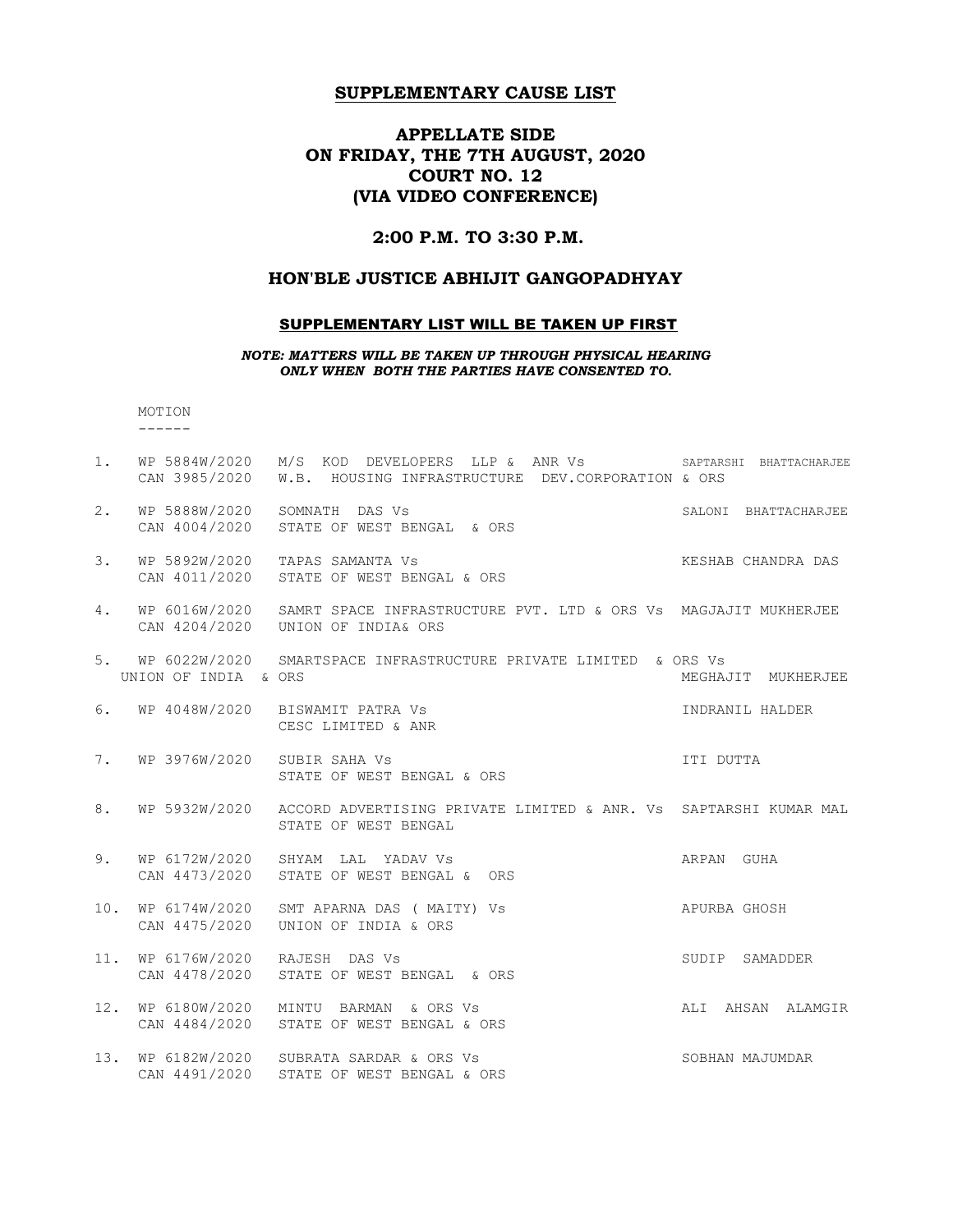# APPELLATE SIDE ON FRIDAY, THE 7TH AUGUST, 2020 COURT NO. 12 (VIA VIDEO CONFERENCE)

## 2:00 P.M. TO 3:30 P.M.

## HON'BLE JUSTICE ABHIJIT GANGOPADHYAY

### SUPPLEMENTARY LIST WILL BE TAKEN UP FIRST

NOTE: MATTERS WILL BE TAKEN UP THROUGH PHYSICAL HEARING ONLY WHEN BOTH THE PARTIES HAVE CONSENTED TO.

 MOTION ------

| $1$ . |                                | WP 5884W/2020 M/S KOD DEVELOPERS LLP & ANR Vs SAPTARSHI BHATTACHARJEE<br>CAN 3985/2020 W.B. HOUSING INFRASTRUCTURE DEV.CORPORATION & ORS |                      |
|-------|--------------------------------|------------------------------------------------------------------------------------------------------------------------------------------|----------------------|
| 2.    |                                | WP 5888W/2020 SOMNATH DAS Vs<br>CAN 4004/2020 STATE OF WEST BENGAL & ORS                                                                 | SALONI BHATTACHARJEE |
| 3.    | WP 5892W/2020                  | TAPAS SAMANTA Vs<br>CAN 4011/2020 STATE OF WEST BENGAL & ORS                                                                             | KESHAB CHANDRA DAS   |
| 4.    | WP 6016W/2020                  | SAMRT SPACE INFRASTRUCTURE PVT. LTD & ORS Vs MAGJAJIT MUKHERJEE<br>CAN 4204/2020 UNION OF INDIA& ORS                                     |                      |
|       | UNION OF INDIA & ORS           | 5. WP 6022W/2020 SMARTSPACE INFRASTRUCTURE PRIVATE LIMITED & ORS Vs                                                                      | MEGHAJIT MUKHERJEE   |
| 6.    |                                | WP 4048W/2020 BISWAMIT PATRA Vs<br>CESC LIMITED & ANR                                                                                    | INDRANIL HALDER      |
| 7.    | WP 3976W/2020 SUBIR SAHA Vs    | STATE OF WEST BENGAL & ORS                                                                                                               | ITI DUTTA            |
| 8.    |                                | WP 5932W/2020 ACCORD ADVERTISING PRIVATE LIMITED & ANR. Vs SAPTARSHI KUMAR MAL<br>STATE OF WEST BENGAL                                   |                      |
| 9.    | CAN 4473/2020                  | WP 6172W/2020 SHYAM LAL YADAV Vs<br>STATE OF WEST BENGAL & ORS                                                                           | ARPAN GUHA           |
| 10.   | WP 6174W/2020<br>CAN 4475/2020 | APURBA GHOSH<br>SMT APARNA DAS ( MAITY) Vs<br>UNION OF INDIA & ORS                                                                       |                      |
| 11.   | WP 6176W/2020<br>CAN 4478/2020 | RAJESH DAS Vs<br>STATE OF WEST BENGAL & ORS                                                                                              | SUDIP SAMADDER       |
| 12.   |                                | WP 6180W/2020 MINTU BARMAN & ORS Vs<br>CAN 4484/2020 STATE OF WEST BENGAL & ORS                                                          | ALI AHSAN ALAMGIR    |
|       |                                | 13. WP 6182W/2020 SUBRATA SARDAR & ORS Vs<br>CAN 4491/2020 STATE OF WEST BENGAL & ORS                                                    | SOBHAN MAJUMDAR      |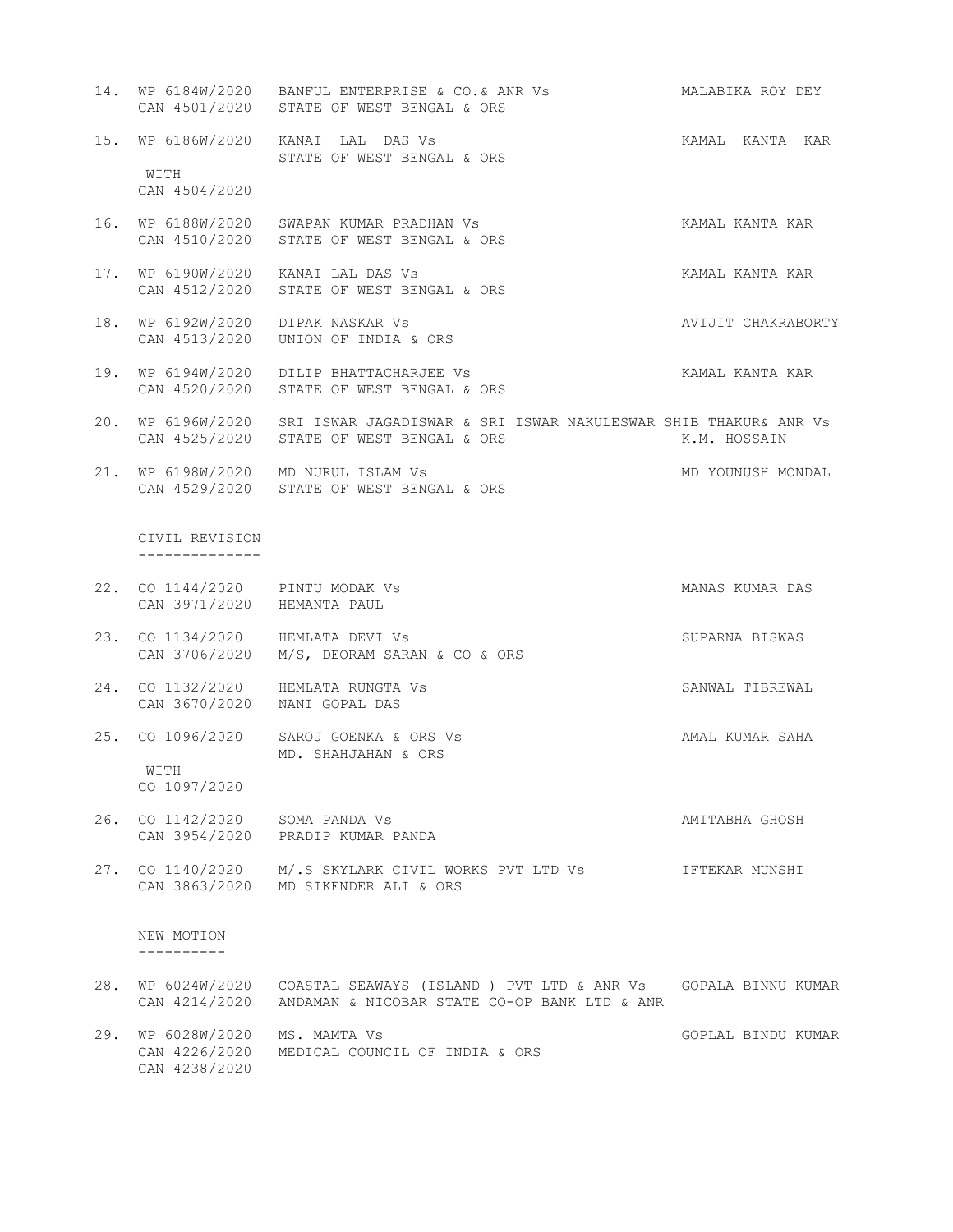- 14. WP 6184W/2020 BANFUL ENTERPRISE & CO.& ANR Vs MALABIKA ROY DEY CAN 4501/2020 STATE OF WEST BENGAL & ORS
- 15. WP 6186W/2020 KANAI LAL DAS Vs KAMAL KANTA KAR STATE OF WEST BENGAL & ORS

WITH CAN 4504/2020

- 16. WP 6188W/2020 SWAPAN KUMAR PRADHAN Vs KAMAL KANTA KAR CAN 4510/2020 STATE OF WEST BENGAL & ORS
- 17. WP 6190W/2020 KANAI LAL DAS Vs KAMAL KANTA KAR CAN 4512/2020 STATE OF WEST BENGAL & ORS
- 18. WP 6192W/2020 DIPAK NASKAR Vs AVIJIT CHAKRABORTY CAN 4513/2020 UNION OF INDIA & ORS
- 19. WP 6194W/2020 DILIP BHATTACHARJEE Vs KAMAL KANTA KAR CAN 4520/2020 STATE OF WEST BENGAL & ORS
- 20. WP 6196W/2020 SRI ISWAR JAGADISWAR & SRI ISWAR NAKULESWAR SHIB THAKUR& ANR Vs CAN 4525/2020 STATE OF WEST BENGAL & ORS THE MERICULE R.M. HOSSAIN
- 21. WP 6198W/2020 MD NURUL ISLAM Vs WELL AND YOUNUSH MONDAL CAN 4529/2020 STATE OF WEST BENGAL & ORS

 CIVIL REVISION --------------

- 22. CO 1144/2020 PINTU MODAK Vs MANAS KUMAR DAS CAN 3971/2020 HEMANTA PAUL
- 23. CO 1134/2020 HEMLATA DEVI Vs SUPARNA BISWAS CAN 3706/2020 M/S, DEORAM SARAN & CO & ORS
- 24. CO 1132/2020 HEMLATA RUNGTA Vs SANWAL TIBREWAL CAN 3670/2020 NANI GOPAL DAS
- 25. CO 1096/2020 SAROJ GOENKA & ORS Vs AMAL KUMAR SAHA MD. SHAHJAHAN & ORS WITH

CO 1097/2020

- 26. CO 1142/2020 SOMA PANDA Vs **AMITABHA GHOSH** CAN 3954/2020 PRADIP KUMAR PANDA
- 27. CO 1140/2020 M/.S SKYLARK CIVIL WORKS PVT LTD Vs IFTEKAR MUNSHI CAN 3863/2020 MD SIKENDER ALI & ORS

 NEW MOTION ----------

- 28. WP 6024W/2020 COASTAL SEAWAYS (ISLAND ) PVT LTD & ANR Vs GOPALA BINNU KUMAR CAN 4214/2020 ANDAMAN & NICOBAR STATE CO-OP BANK LTD & ANR
- 29. WP 6028W/2020 MS. MAMTA Vs GOPLAL BINDU KUMAR CAN 4226/2020 MEDICAL COUNCIL OF INDIA & ORS CAN 4238/2020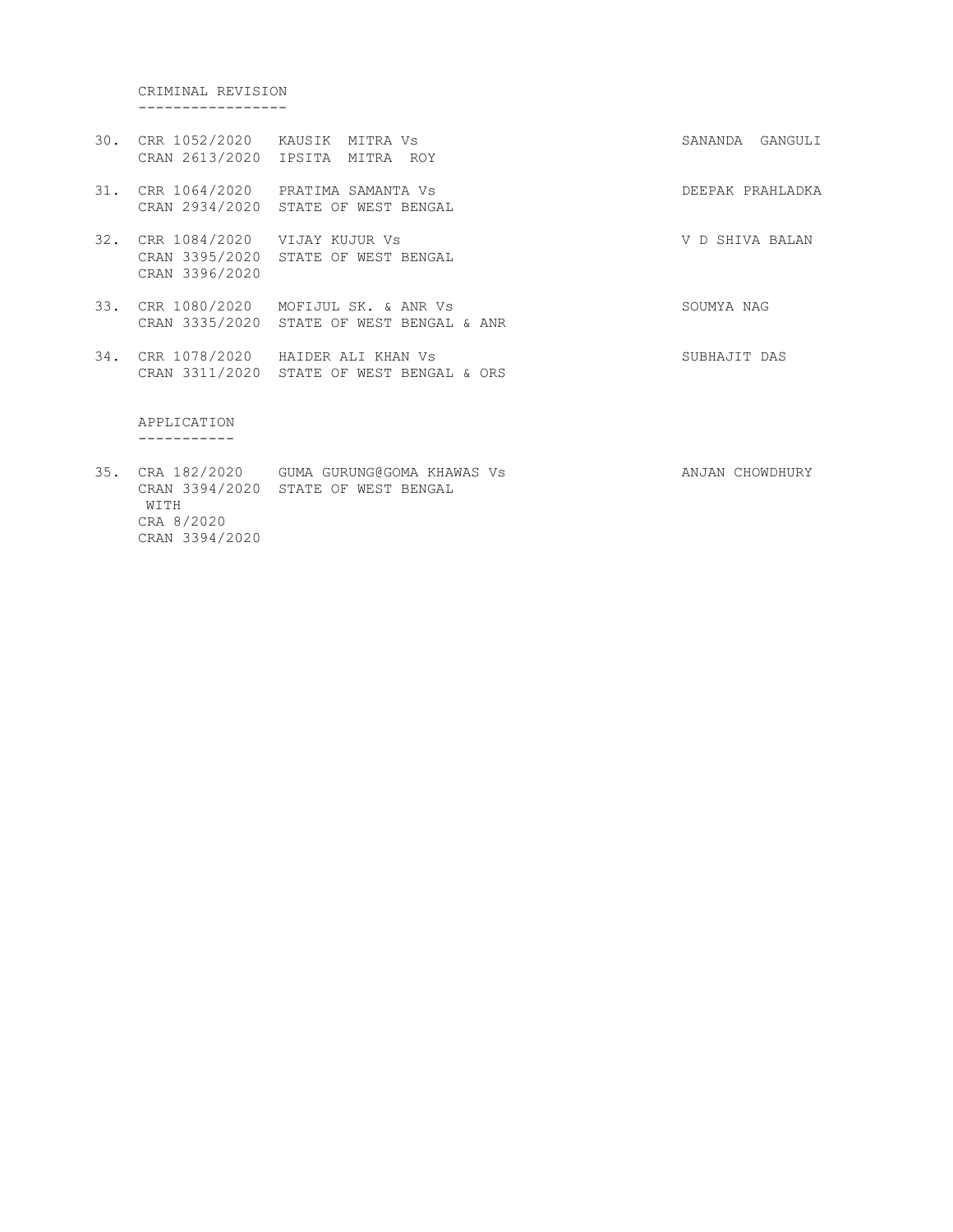CRIMINAL REVISION -----------------

- 30. CRR 1052/2020 KAUSIK MITRA Vs SANANDA GANGULI CRAN 2613/2020 IPSITA MITRA ROY
- 31. CRR 1064/2020 PRATIMA SAMANTA Vs DEEPAK PRAHLADKA CRAN 2934/2020 STATE OF WEST BENGAL
- 32. CRR 1084/2020 VIJAY KUJUR Vs V D SHIVA BALAN CRAN 3395/2020 STATE OF WEST BENGAL CRAN 3396/2020
- 33. CRR 1080/2020 MOFIJUL SK. & ANR Vs SOUMYA NAG CRAN 3335/2020 STATE OF WEST BENGAL & ANR
- 34. CRR 1078/2020 HAIDER ALI KHAN Vs SUBHAJIT DAS CRAN 3311/2020 STATE OF WEST BENGAL & ORS

 APPLICATION -----------

35. CRA 182/2020 GUMA GURUNG@GOMA KHAWAS Vs ANJAN CHOWDHURY CRAN 3394/2020 STATE OF WEST BENGAL WITH CRA 8/2020 CRAN 3394/2020